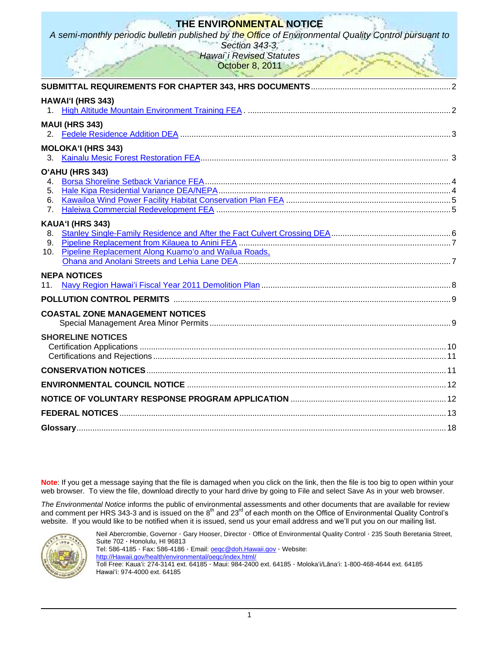# **THE ENVIRONMENTAL NOTICE**

*A semi-monthly periodic bulletin published by the Office of Environmental Quality Control pursuant to* 

*Section 343-3, Hawai`i Revised Statutes* **October 8, 2011** 

| the contract of the contract of the contract of the contract of the contract of the contract of the contract of |  |
|-----------------------------------------------------------------------------------------------------------------|--|
|                                                                                                                 |  |
| HAWAI'I (HRS 343)                                                                                               |  |
|                                                                                                                 |  |
| <b>MAUI (HRS 343)</b>                                                                                           |  |
|                                                                                                                 |  |
|                                                                                                                 |  |
| <b>MOLOKA'I (HRS 343)</b>                                                                                       |  |
|                                                                                                                 |  |
| O'AHU (HRS 343)                                                                                                 |  |
| 4.<br>5.                                                                                                        |  |
| 6.                                                                                                              |  |
| 7.                                                                                                              |  |
|                                                                                                                 |  |
| KAUA'I (HRS 343)                                                                                                |  |
| 8.<br>9.                                                                                                        |  |
| Pipeline Replacement Along Kuamo'o and Wailua Roads,<br>10.                                                     |  |
|                                                                                                                 |  |
|                                                                                                                 |  |
| <b>NEPA NOTICES</b>                                                                                             |  |
| 11.                                                                                                             |  |
|                                                                                                                 |  |
| <b>COASTAL ZONE MANAGEMENT NOTICES</b>                                                                          |  |
|                                                                                                                 |  |
| <b>SHORELINE NOTICES</b>                                                                                        |  |
|                                                                                                                 |  |
|                                                                                                                 |  |
|                                                                                                                 |  |
|                                                                                                                 |  |
|                                                                                                                 |  |
|                                                                                                                 |  |
|                                                                                                                 |  |
|                                                                                                                 |  |

**Note**: If you get a message saying that the file is damaged when you click on the link, then the file is too big to open within your web browser. To view the file, download directly to your hard drive by going to File and select Save As in your web browser.

*The Environmental Notice* informs the public of environmental assessments and other documents that are available for review and comment per HRS 343-3 and is issued on the 8<sup>th</sup> and 23<sup>rd</sup> of each month on the Office of Environmental Quality Control's website. If you would like to be notified when it is issued, send us your email address and we'll put you on our mailing list.



Neil Abercrombie, Governor · Gary Hooser, Director · Office of Environmental Quality Control · 235 South Beretania Street, Suite 702 · Honolulu, HI 96813 Tel: 586-4185 · Fax: 586-4186 · Email: **oeqc@doh.Hawaii.gov** · Website: [http://Hawaii.gov/health/environmental/oeqc/index.html/](http://hawaii.gov/health/environmental/oeqc/index.html/) Toll Free: Kauaʻi: 274-3141 ext. 64185 · Maui: 984-2400 ext. 64185 · Molokaʻi/Lānaʻi: 1-800-468-4644 ext. 64185 Hawaiʻi: 974-4000 ext. 64185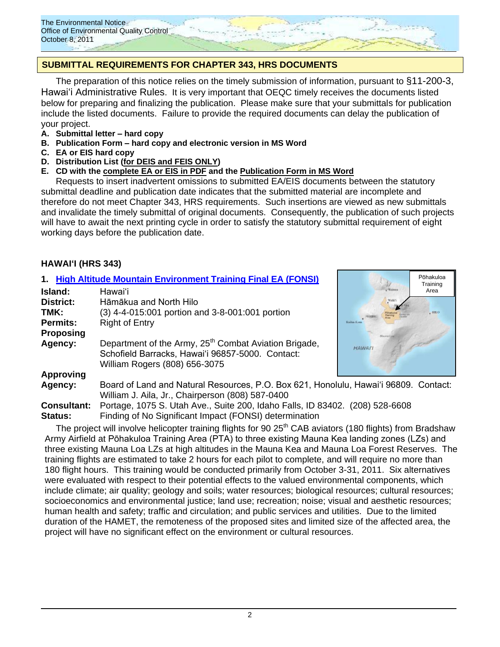

# **SUBMITTAL REQUIREMENTS FOR CHAPTER 343, HRS DOCUMENTS**

The preparation of this notice relies on the timely submission of information, pursuant to §11-200-3, Hawaiʻi Administrative Rules. It is very important that OEQC timely receives the documents listed below for preparing and finalizing the publication. Please make sure that your submittals for publication include the listed documents. Failure to provide the required documents can delay the publication of your project.

- **A. Submittal letter – hard copy**
- **B. Publication Form – hard copy and electronic version in MS Word**
- **C. EA or EIS hard copy**
- **D. Distribution List (for DEIS and FEIS ONLY)**
- **E. CD with the complete EA or EIS in PDF and the Publication Form in MS Word**

Requests to insert inadvertent omissions to submitted EA/EIS documents between the statutory submittal deadline and publication date indicates that the submitted material are incomplete and therefore do not meet Chapter 343, HRS requirements. Such insertions are viewed as new submittals and invalidate the timely submittal of original documents. Consequently, the publication of such projects will have to await the next printing cycle in order to satisfy the statutory submittal requirement of eight working days before the publication date.

#### **HAWAIʻI (HRS 343)**

|                    | 1. High Altitude Mountain Environment Training Final EA (FONSI)                                                                                        |                | Pōhakuloa<br>Training |
|--------------------|--------------------------------------------------------------------------------------------------------------------------------------------------------|----------------|-----------------------|
| Island:            | Hawaiʻi                                                                                                                                                | Waling         | Area                  |
| <b>District:</b>   | Hāmākua and North Hilo                                                                                                                                 |                |                       |
| TMK:               | (3) 4-4-015:001 portion and 3-8-001:001 portion                                                                                                        |                | $.$ HRO               |
| <b>Permits:</b>    | <b>Right of Entry</b>                                                                                                                                  |                |                       |
| <b>Proposing</b>   |                                                                                                                                                        |                |                       |
| Agency:            | Department of the Army, 25 <sup>th</sup> Combat Aviation Brigade,<br>Schofield Barracks, Hawai'i 96857-5000. Contact:<br>William Rogers (808) 656-3075 | <b>HAWAI'I</b> |                       |
| <b>Approving</b>   |                                                                                                                                                        |                |                       |
| Agency:            | Board of Land and Natural Resources, P.O. Box 621, Honolulu, Hawai'i 96809. Contact:<br>William J. Aila, Jr., Chairperson (808) 587-0400               |                |                       |
| <b>Consultant:</b> | Portage, 1075 S. Utah Ave., Suite 200, Idaho Falls, ID 83402. (208) 528-6608                                                                           |                |                       |

**Status:** Finding of No Significant Impact (FONSI) determination The project will involve helicopter training flights for 90 25<sup>th</sup> CAB aviators (180 flights) from Bradshaw Army Airfield at Pōhakuloa Training Area (PTA) to three existing Mauna Kea landing zones (LZs) and three existing Mauna Loa LZs at high altitudes in the Mauna Kea and Mauna Loa Forest Reserves. The training flights are estimated to take 2 hours for each pilot to complete, and will require no more than 180 flight hours. This training would be conducted primarily from October 3-31, 2011. Six alternatives were evaluated with respect to their potential effects to the valued environmental components, which include climate; air quality; geology and soils; water resources; biological resources; cultural resources;

socioeconomics and environmental justice; land use; recreation; noise; visual and aesthetic resources; human health and safety; traffic and circulation; and public services and utilities. Due to the limited duration of the HAMET, the remoteness of the proposed sites and limited size of the affected area, the project will have no significant effect on the environment or cultural resources.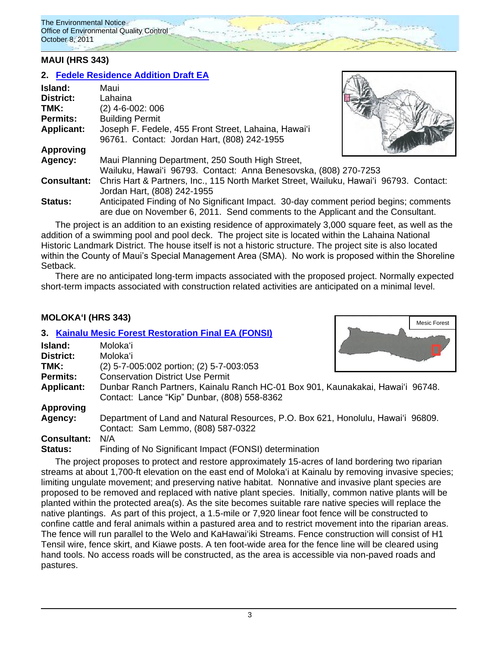### **MAUI (HRS 343)**

# **2. [Fedele Residence Addition](http://oeqc.doh.hawaii.gov/Shared%20Documents/EA_and_EIS_Online_Library/Maui/2010s/2011-10-08-DEA-Fedele-Residence-Improvements.pdf) Draft EA**

| Island:            | Maui                                                                                   |  |
|--------------------|----------------------------------------------------------------------------------------|--|
| <b>District:</b>   | Lahaina                                                                                |  |
| TMK:               | (2) 4-6-002: 006                                                                       |  |
| <b>Permits:</b>    | <b>Building Permit</b>                                                                 |  |
| <b>Applicant:</b>  | Joseph F. Fedele, 455 Front Street, Lahaina, Hawai'i                                   |  |
|                    | 96761. Contact: Jordan Hart, (808) 242-1955                                            |  |
| <b>Approving</b>   |                                                                                        |  |
| Agency:            | Maui Planning Department, 250 South High Street,                                       |  |
|                    | Wailuku, Hawai'i 96793. Contact: Anna Benesovska, (808) 270-7253                       |  |
| <b>Consultant:</b> | Chris Hart & Partners, Inc., 115 North Market Street, Wailuku, Hawai'i 96793. Contact: |  |
|                    | Jordan Hart, (808) 242-1955                                                            |  |
| Status:            | Anticipated Finding of No Significant Impact. 30-day comment period begins; comments   |  |
|                    | are due on November 6, 2011. Send comments to the Applicant and the Consultant.        |  |

The project is an addition to an existing residence of approximately 3,000 square feet, as well as the addition of a swimming pool and pool deck. The project site is located within the Lahaina National Historic Landmark District. The house itself is not a historic structure. The project site is also located within the County of Maui's Special Management Area (SMA). No work is proposed within the Shoreline Setback.

There are no anticipated long-term impacts associated with the proposed project. Normally expected short-term impacts associated with construction related activities are anticipated on a minimal level.

### **MOLOKAʻI (HRS 343)**

|                    | 3. Kainalu Mesic Forest Restoration Final EA (FONSI)                                                                          |
|--------------------|-------------------------------------------------------------------------------------------------------------------------------|
| Island:            | Molokaʻi                                                                                                                      |
| District:          | Molokaʻi                                                                                                                      |
| TMK:               | (2) 5-7-005:002 portion; (2) 5-7-003:053                                                                                      |
| <b>Permits:</b>    | <b>Conservation District Use Permit</b>                                                                                       |
| <b>Applicant:</b>  | Dunbar Ranch Partners, Kainalu Ranch HC-01 Box 901, Kaunakakai, Hawai'i 96748.<br>Contact: Lance "Kip" Dunbar, (808) 558-8362 |
| <b>Approving</b>   |                                                                                                                               |
| Agency:            | Department of Land and Natural Resources, P.O. Box 621, Honolulu, Hawai'i 96809.<br>Contact: Sam Lemmo, (808) 587-0322        |
| <b>Consultant:</b> | N/A                                                                                                                           |
| Status:            | Finding of No Significant Impact (FONSI) determination                                                                        |

The project proposes to protect and restore approximately 15-acres of land bordering two riparian streams at about 1,700-ft elevation on the east end of Molokaʻi at Kainalu by removing invasive species; limiting ungulate movement; and preserving native habitat. Nonnative and invasive plant species are proposed to be removed and replaced with native plant species. Initially, common native plants will be planted within the protected area(s). As the site becomes suitable rare native species will replace the native plantings. As part of this project, a 1.5-mile or 7,920 linear foot fence will be constructed to confine cattle and feral animals within a pastured area and to restrict movement into the riparian areas. The fence will run parallel to the Welo and KaHawaiʻiki Streams. Fence construction will consist of H1 Tensil wire, fence skirt, and Kiawe posts. A ten foot-wide area for the fence line will be cleared using hand tools. No access roads will be constructed, as the area is accessible via non-paved roads and pastures.



Mesic Forest

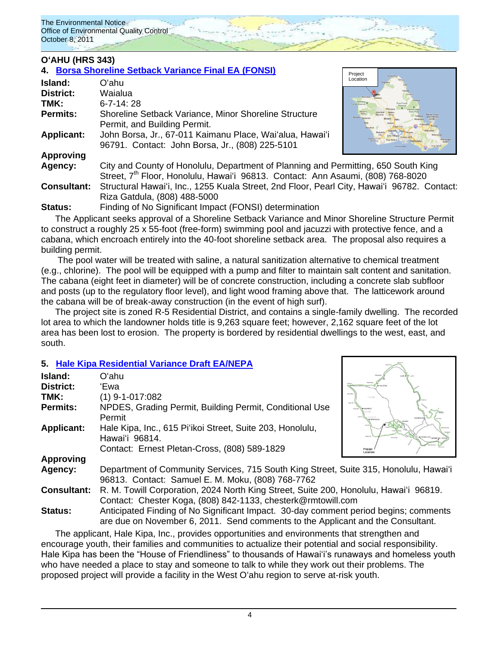## **OʻAHU (HRS 343)**

### **4. [Borsa Shoreline Setback Variance Final EA \(FONSI\)](http://oeqc.doh.hawaii.gov/Shared%20Documents/EA_and_EIS_Online_Library/Oahu/2010s/2011-10-08-FEA-Borsa-Shoreline-Setback-Variance.pdf)**

|                    | 4 Borsa Shoreline Setback Variance Final EA (FONSI)                                                                                                                               | Project               |
|--------------------|-----------------------------------------------------------------------------------------------------------------------------------------------------------------------------------|-----------------------|
| Island:            | Oʻahu                                                                                                                                                                             | Location              |
| <b>District:</b>   | Waialua                                                                                                                                                                           |                       |
| TMK:               | $6 - 7 - 14$ 28                                                                                                                                                                   | <b>Friend Reserve</b> |
| Permits:           | Shoreline Setback Variance, Minor Shoreline Structure<br>Permit, and Building Permit.                                                                                             |                       |
| <b>Applicant:</b>  | John Borsa, Jr., 67-011 Kaimanu Place, Wai'alua, Hawai'i<br>96791. Contact: John Borsa, Jr., (808) 225-5101                                                                       |                       |
| <b>Approving</b>   |                                                                                                                                                                                   |                       |
| Agency:            | City and County of Honolulu, Department of Planning and Permitting, 650 South King<br>Street, 7 <sup>th</sup> Floor, Honolulu, Hawai'i 96813. Contact: Ann Asaumi, (808) 768-8020 |                       |
| <b>Consultant:</b> | Structural Hawai'i, Inc., 1255 Kuala Street, 2nd Floor, Pearl City, Hawai'i 96782. Contact:<br>Riza Gatdula, (808) 488-5000                                                       |                       |
| Status:            | Finding of No Significant Impact (FONSI) determination                                                                                                                            |                       |

The Applicant seeks approval of a Shoreline Setback Variance and Minor Shoreline Structure Permit to construct a roughly 25 x 55-foot (free-form) swimming pool and jacuzzi with protective fence, and a cabana, which encroach entirely into the 40-foot shoreline setback area. The proposal also requires a building permit.

The pool water will be treated with saline, a natural sanitization alternative to chemical treatment (e.g., chlorine). The pool will be equipped with a pump and filter to maintain salt content and sanitation. The cabana (eight feet in diameter) will be of concrete construction, including a concrete slab subfloor and posts (up to the regulatory floor level), and light wood framing above that. The latticework around the cabana will be of break-away construction (in the event of high surf).

The project site is zoned R-5 Residential District, and contains a single-family dwelling. The recorded lot area to which the landowner holds title is 9,263 square feet; however, 2,162 square feet of the lot area has been lost to erosion. The property is bordered by residential dwellings to the west, east, and south.

### **5. [Hale Kipa Residential Variance Draft EA/NEPA](http://oeqc.doh.hawaii.gov/Shared%20Documents/EA_and_EIS_Online_Library/Oahu/2010s/2011-10-08-DEA-NEPA-Hale-Kipa-Residential-Shelter.pdf)**

| 'Ewa                                                                                                                                                  |                        |
|-------------------------------------------------------------------------------------------------------------------------------------------------------|------------------------|
| $(1)$ 9-1-017:082                                                                                                                                     | Make a Bay<br>Chi, man |
| NPDES, Grading Permit, Building Permit, Conditional Use                                                                                               | <b>South F</b>         |
| Permit                                                                                                                                                |                        |
| Hale Kipa, Inc., 615 Pi'ikoi Street, Suite 203, Honolulu,<br>Hawai'i 96814.                                                                           |                        |
| Contact: Ernest Pletan-Cross, (808) 589-1829                                                                                                          |                        |
|                                                                                                                                                       |                        |
| Department of Community Services, 715 South King Street, Suite 315, Honolulu, Hawai'i<br>96813. Contact: Samuel E. M. Moku, (808) 768-7762            |                        |
| R. M. Towill Corporation, 2024 North King Street, Suite 200, Honolulu, Hawai'i 96819.<br>Contact: Chester Koga, (808) 842-1133, chesterk@rmtowill.com |                        |
| Anticipated Finding of No Significant Impact. 30-day comment period begins; comments                                                                  |                        |
|                                                                                                                                                       | Oʻahu                  |

The applicant, Hale Kipa, Inc., provides opportunities and environments that strengthen and encourage youth, their families and communities to actualize their potential and social responsibility. Hale Kipa has been the "House of Friendliness" to thousands of Hawai'i's runaways and homeless youth who have needed a place to stay and someone to talk to while they work out their problems. The proposed project will provide a facility in the West Oʻahu region to serve at-risk youth.

are due on November 6, 2011. Send comments to the Applicant and the Consultant.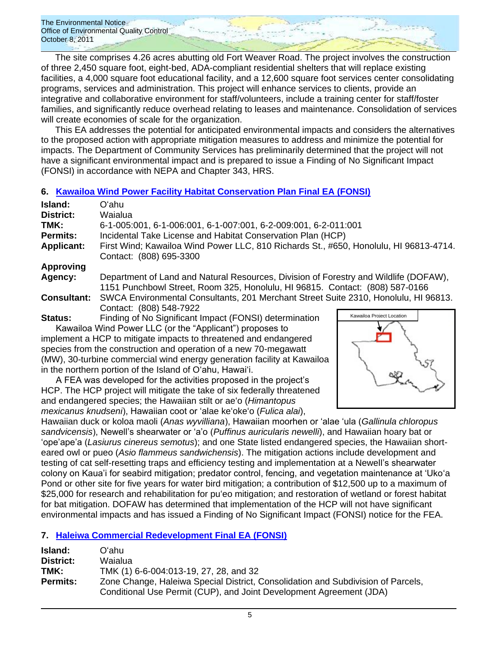The site comprises 4.26 acres abutting old Fort Weaver Road. The project involves the construction of three 2,450 square foot, eight-bed, ADA-compliant residential shelters that will replace existing facilities, a 4,000 square foot educational facility, and a 12,600 square foot services center consolidating programs, services and administration. This project will enhance services to clients, provide an integrative and collaborative environment for staff/volunteers, include a training center for staff/foster families, and significantly reduce overhead relating to leases and maintenance. Consolidation of services will create economies of scale for the organization.

This EA addresses the potential for anticipated environmental impacts and considers the alternatives to the proposed action with appropriate mitigation measures to address and minimize the potential for impacts. The Department of Community Services has preliminarily determined that the project will not have a significant environmental impact and is prepared to issue a Finding of No Significant Impact (FONSI) in accordance with NEPA and Chapter 343, HRS.

### **6. [Kawailoa Wind Power Facility Habitat Conservation Plan Final EA \(FONSI\)](http://oeqc.doh.hawaii.gov/Shared%20Documents/EA_and_EIS_Online_Library/Oahu/2010s/2011-10-08-FEA-Kawailoa%20Wind%20Power%20Habitat%20Conservation%20Plan.pdf)**

| Island:            | Oʻahu                                                                                                                                                                |
|--------------------|----------------------------------------------------------------------------------------------------------------------------------------------------------------------|
| District:          | Waialua                                                                                                                                                              |
| TMK:               | 6-1-005:001, 6-1-006:001, 6-1-007:001, 6-2-009:001, 6-2-011:001                                                                                                      |
| <b>Permits:</b>    | Incidental Take License and Habitat Conservation Plan (HCP)                                                                                                          |
| <b>Applicant:</b>  | First Wind; Kawailoa Wind Power LLC, 810 Richards St., #650, Honolulu, HI 96813-4714.<br>Contact: (808) 695-3300                                                     |
| <b>Approving</b>   |                                                                                                                                                                      |
| Agency:            | Department of Land and Natural Resources, Division of Forestry and Wildlife (DOFAW),<br>1151 Punchbowl Street, Room 325, Honolulu, HI 96815. Contact: (808) 587-0166 |
| <b>Consultant:</b> | SWCA Environmental Consultants, 201 Merchant Street Suite 2310, Honolulu, HI 96813.<br>Contact: (808) 548-7922                                                       |
| Status:            | Kawailoa Proiect Location<br>Finding of No Significant Impact (FONSI) determination                                                                                  |

Kawailoa Wind Power LLC (or the "Applicant") proposes to implement a HCP to mitigate impacts to threatened and endangered species from the construction and operation of a new 70-megawatt (MW), 30-turbine commercial wind energy generation facility at Kawailoa in the northern portion of the Island of Oʻahu, Hawaiʻi.

A FEA was developed for the activities proposed in the project's HCP. The HCP project will mitigate the take of six federally threatened and endangered species; the Hawaiian stilt or aeʻo (*Himantopus mexicanus knudseni*), Hawaiian coot or ‗alae keʻokeʻo (*Fulica alai*),



Hawaiian duck or koloa maoli (*Anas wyvilliana*), Hawaiian moorhen or ‗alae ‗ula (*Gallinula chloropus*  sandvicensis), Newell's shearwater or 'a'o (*Puffinus auricularis newelli*), and Hawaiian hoary bat or ‗ope'ape'a (*Lasiurus cinereus semotus*); and one State listed endangered species, the Hawaiian shorteared owl or pueo (*Asio flammeus sandwichensis*). The mitigation actions include development and testing of cat self-resetting traps and efficiency testing and implementation at a Newell's shearwater colony on Kaua'i for seabird mitigation; predator control, fencing, and vegetation maintenance at ‗Ukoʻa Pond or other site for five years for water bird mitigation; a contribution of \$12,500 up to a maximum of \$25,000 for research and rehabilitation for pu'eo mitigation; and restoration of wetland or forest habitat for bat mitigation. DOFAW has determined that implementation of the HCP will not have significant environmental impacts and has issued a Finding of No Significant Impact (FONSI) notice for the FEA.

### **7. [Haleiwa Commercial Redevelopment Final EA \(FONSI\)](http://oeqc.doh.hawaii.gov/Shared%20Documents/EA_and_EIS_Online_Library/Oahu/2010s/2011-10-08-FEA-Haleiwa-Commercial-Redevelopment.pdf)**

| Island:         | Oʻahu.                                                                           |
|-----------------|----------------------------------------------------------------------------------|
| District:       | Waialua                                                                          |
| TMK:            | TMK (1) 6-6-004:013-19, 27, 28, and 32                                           |
| <b>Permits:</b> | Zone Change, Haleiwa Special District, Consolidation and Subdivision of Parcels, |
|                 | Conditional Use Permit (CUP), and Joint Development Agreement (JDA)              |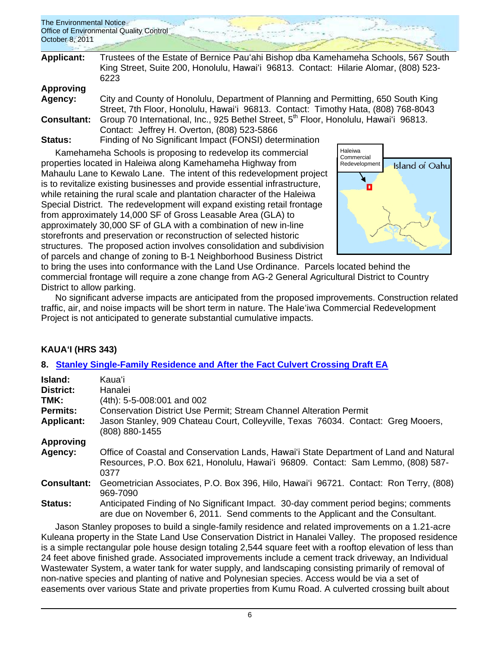| The Environmental Notice                |  |  |
|-----------------------------------------|--|--|
| Office of Environmental Quality Control |  |  |
| October 8, 2011                         |  |  |
|                                         |  |  |

| <b>Applicant:</b>  | Trustees of the Estate of Bernice Pau'ahi Bishop dba Kamehameha Schools, 567 South<br>King Street, Suite 200, Honolulu, Hawai'i 96813. Contact: Hilarie Alomar, (808) 523-<br>6223 |
|--------------------|------------------------------------------------------------------------------------------------------------------------------------------------------------------------------------|
| <b>Approving</b>   |                                                                                                                                                                                    |
| Agency:            | City and County of Honolulu, Department of Planning and Permitting, 650 South King                                                                                                 |
|                    | Street, 7th Floor, Honolulu, Hawai'i 96813. Contact: Timothy Hata, (808) 768-8043                                                                                                  |
| <b>Consultant:</b> | Group 70 International, Inc., 925 Bethel Street, 5th Floor, Honolulu, Hawai'i 96813.                                                                                               |
|                    | Contact: Jeffrey H. Overton, (808) 523-5866                                                                                                                                        |
| $C1 - 1 - 1 - 1$   | $\Gamma$ is dinned the Cianificant Import ( $\Gamma$ ONICI) determination                                                                                                          |

**Status:** Finding of No Significant Impact (FONSI) determination

Kamehameha Schools is proposing to redevelop its commercial properties located in Haleiwa along Kamehameha Highway from Mahaulu Lane to Kewalo Lane. The intent of this redevelopment project is to revitalize existing businesses and provide essential infrastructure, while retaining the rural scale and plantation character of the Haleiwa Special District. The redevelopment will expand existing retail frontage from approximately 14,000 SF of Gross Leasable Area (GLA) to approximately 30,000 SF of GLA with a combination of new in-line storefronts and preservation or reconstruction of selected historic structures. The proposed action involves consolidation and subdivision of parcels and change of zoning to B-1 Neighborhood Business District



to bring the uses into conformance with the Land Use Ordinance. Parcels located behind the commercial frontage will require a zone change from AG-2 General Agricultural District to Country District to allow parking.

No significant adverse impacts are anticipated from the proposed improvements. Construction related traffic, air, and noise impacts will be short term in nature. The Haleʻiwa Commercial Redevelopment Project is not anticipated to generate substantial cumulative impacts.

# **KAUAʻI (HRS 343)**

# **8. [Stanley Single-Family Residence and After the Fact Culvert Crossing Draft EA](http://oeqc.doh.hawaii.gov/Shared%20Documents/EA_and_EIS_Online_Library/Kauai/2010s/2011-10-08-DEA-Stanley-Residence-and-After-the-Fact-Culvert.pdf)**

| Island:<br>District:<br>TMK:<br><b>Permits:</b><br><b>Applicant:</b> | Kauaʻi.<br>Hanalei<br>(4th): 5-5-008:001 and 002<br><b>Conservation District Use Permit; Stream Channel Alteration Permit</b><br>Jason Stanley, 909 Chateau Court, Colleyville, Texas 76034. Contact: Greg Mooers,<br>(808) 880-1455 |
|----------------------------------------------------------------------|--------------------------------------------------------------------------------------------------------------------------------------------------------------------------------------------------------------------------------------|
| <b>Approving</b>                                                     |                                                                                                                                                                                                                                      |
| Agency:                                                              | Office of Coastal and Conservation Lands, Hawai'i State Department of Land and Natural<br>Resources, P.O. Box 621, Honolulu, Hawai'i 96809. Contact: Sam Lemmo, (808) 587-<br>0377                                                   |
| <b>Consultant:</b>                                                   | Geometrician Associates, P.O. Box 396, Hilo, Hawai'i 96721. Contact: Ron Terry, (808)<br>969-7090                                                                                                                                    |
| Status:                                                              | Anticipated Finding of No Significant Impact. 30-day comment period begins; comments<br>are due on November 6, 2011. Send comments to the Applicant and the Consultant.                                                              |

Jason Stanley proposes to build a single-family residence and related improvements on a 1.21-acre Kuleana property in the State Land Use Conservation District in Hanalei Valley. The proposed residence is a simple rectangular pole house design totaling 2,544 square feet with a rooftop elevation of less than 24 feet above finished grade. Associated improvements include a cement track driveway, an Individual Wastewater System, a water tank for water supply, and landscaping consisting primarily of removal of non-native species and planting of native and Polynesian species. Access would be via a set of easements over various State and private properties from Kumu Road. A culverted crossing built about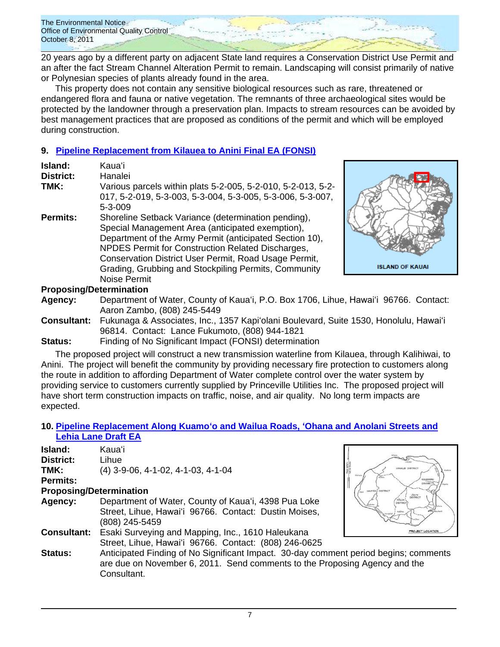20 years ago by a different party on adjacent State land requires a Conservation District Use Permit and an after the fact Stream Channel Alteration Permit to remain. Landscaping will consist primarily of native or Polynesian species of plants already found in the area.

This property does not contain any sensitive biological resources such as rare, threatened or endangered flora and fauna or native vegetation. The remnants of three archaeological sites would be protected by the landowner through a preservation plan. Impacts to stream resources can be avoided by best management practices that are proposed as conditions of the permit and which will be employed during construction.

# **9. [Pipeline Replacement from Kilauea to Anini](http://oeqc.doh.hawaii.gov/Shared%20Documents/EA_and_EIS_Online_Library/Kauai/2010s/2011-10-08-FEA-Pipeline-Replacement-Kilauea-Anini.pdf) Final EA (FONSI)**

| Island:          | Kauaʻi                                                       |
|------------------|--------------------------------------------------------------|
| <b>District:</b> | Hanalei                                                      |
| TMK:             | Various parcels within plats 5-2-005, 5-2-010, 5-2-013, 5-2- |
|                  | 017, 5-2-019, 5-3-003, 5-3-004, 5-3-005, 5-3-006, 5-3-007,   |
|                  | 5-3-009                                                      |
| <b>Permits:</b>  | Shoreline Setback Variance (determination pending),          |
|                  | Special Management Area (anticipated exemption),             |
|                  | Department of the Army Permit (anticipated Section 10),      |
|                  | NPDES Permit for Construction Related Discharges,            |
|                  | Conservation District User Permit, Road Usage Permit,        |
|                  | Grading, Grubbing and Stockpiling Permits, Community         |
|                  | Noise Permit                                                 |



# **Proposing/Determination**

- **Agency:** Department of Water, County of Kauaʻi, P.O. Box 1706, Lihue, Hawaiʻi 96766. Contact: Aaron Zambo, (808) 245-5449
- **Consultant:** Fukunaga & Associates, Inc., 1357 Kapiʻolani Boulevard, Suite 1530, Honolulu, Hawaiʻi 96814. Contact: Lance Fukumoto, (808) 944-1821
- **Status:** Finding of No Significant Impact (FONSI) determination

The proposed project will construct a new transmission waterline from Kilauea, through Kalihiwai, to Anini. The project will benefit the community by providing necessary fire protection to customers along the route in addition to affording Department of Water complete control over the water system by providing service to customers currently supplied by Princeville Utilities Inc. The proposed project will have short term construction impacts on traffic, noise, and air quality. No long term impacts are expected.

### **10. [Pipeline Replacement Along Kuamoʻo and Wailua Roads, ʻOhana and Anolani Streets and](http://oeqc.doh.hawaii.gov/Shared%20Documents/EA_and_EIS_Online_Library/Kauai/2010s/2011-10-08-DEA-Pipeline-Replacement-Kuamoo-Wailua.pdf)  [Lehia Lane Draft EA](http://oeqc.doh.hawaii.gov/Shared%20Documents/EA_and_EIS_Online_Library/Kauai/2010s/2011-10-08-DEA-Pipeline-Replacement-Kuamoo-Wailua.pdf)**

|                                | <b>Lend Lane Dian LA</b>                                  |
|--------------------------------|-----------------------------------------------------------|
| Island:                        | Kauaʻi                                                    |
| District:                      | Lihue                                                     |
| TMK:                           | $(4)$ 3-9-06, 4-1-02, 4-1-03, 4-1-04                      |
| <b>Permits:</b>                |                                                           |
| <b>Proposing/Determination</b> |                                                           |
| Agency:                        | Department of Water, County of Kaua'i,                    |
|                                | Street, Lihue, Hawai'i 96766. Contact:                    |
|                                | (808) 245-5459                                            |
|                                | <b>Consultant:</b> Esaki Surveying and Mapping, Inc., 161 |



Street, Lihue, Hawaiʻi 96766. Contact: (808) 246-0625 **Status:** Anticipated Finding of No Significant Impact. 30-day comment period begins; comments are due on November 6, 2011. Send comments to the Proposing Agency and the Consultant.

4398 Pua Loke Dustin Moises.

**C** Haleukana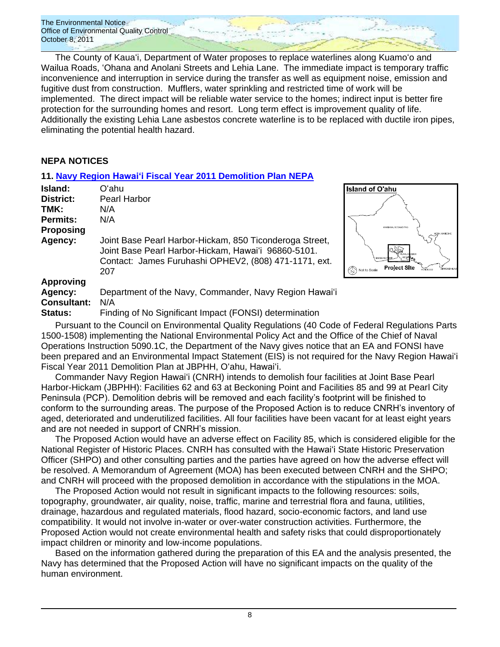The County of Kauaʻi, Department of Water proposes to replace waterlines along Kuamoʻo and Wailua Roads, ʻOhana and Anolani Streets and Lehia Lane. The immediate impact is temporary traffic inconvenience and interruption in service during the transfer as well as equipment noise, emission and fugitive dust from construction. Mufflers, water sprinkling and restricted time of work will be implemented. The direct impact will be reliable water service to the homes; indirect input is better fire protection for the surrounding homes and resort. Long term effect is improvement quality of life. Additionally the existing Lehia Lane asbestos concrete waterline is to be replaced with ductile iron pipes, eliminating the potential health hazard.

#### **NEPA NOTICES**

### **11. Navy Region Hawaiʻi [Fiscal Year 2011 Demolition Plan](http://oeqc.doh.hawaii.gov/Shared%20Documents/EA_and_EIS_Online_Library/NEPA%20and%20Other%20Documents/2011-10-08-NEPA-Navy-Demolition-Plan.pdf) NEPA**

| Island:            | Oʻahu                                                                                                                                                                          |
|--------------------|--------------------------------------------------------------------------------------------------------------------------------------------------------------------------------|
| District:          | Pearl Harbor                                                                                                                                                                   |
| TMK:               | N/A                                                                                                                                                                            |
| <b>Permits:</b>    | N/A                                                                                                                                                                            |
| <b>Proposing</b>   |                                                                                                                                                                                |
| Agency:            | Joint Base Pearl Harbor-Hickam, 850 Ticonderoga Street,<br>Joint Base Pearl Harbor-Hickam, Hawai'i 96860-5101.<br>Contact: James Furuhashi OPHEV2, (808) 471-1171, ext.<br>207 |
| <b>Approving</b>   |                                                                                                                                                                                |
| Agency:            | Department of the Navy, Commander, Navy Region Hawai'i                                                                                                                         |
| <b>Consultant:</b> | N/A                                                                                                                                                                            |
| Status:            | Finding of No Significant Impact (FONSI) determination                                                                                                                         |



**Island of O'ahu** 

Pursuant to the Council on Environmental Quality Regulations (40 Code of Federal Regulations Parts 1500-1508) implementing the National Environmental Policy Act and the Office of the Chief of Naval Operations Instruction 5090.1C, the Department of the Navy gives notice that an EA and FONSI have been prepared and an Environmental Impact Statement (EIS) is not required for the Navy Region Hawaiʻi Fiscal Year 2011 Demolition Plan at JBPHH, Oʻahu, Hawaiʻi.

Commander Navy Region Hawaiʻi (CNRH) intends to demolish four facilities at Joint Base Pearl Harbor-Hickam (JBPHH): Facilities 62 and 63 at Beckoning Point and Facilities 85 and 99 at Pearl City Peninsula (PCP). Demolition debris will be removed and each facility's footprint will be finished to conform to the surrounding areas. The purpose of the Proposed Action is to reduce CNRH's inventory of aged, deteriorated and underutilized facilities. All four facilities have been vacant for at least eight years and are not needed in support of CNRH's mission.

The Proposed Action would have an adverse effect on Facility 85, which is considered eligible for the National Register of Historic Places. CNRH has consulted with the Hawaiʻi State Historic Preservation Officer (SHPO) and other consulting parties and the parties have agreed on how the adverse effect will be resolved. A Memorandum of Agreement (MOA) has been executed between CNRH and the SHPO; and CNRH will proceed with the proposed demolition in accordance with the stipulations in the MOA.

The Proposed Action would not result in significant impacts to the following resources: soils, topography, groundwater, air quality, noise, traffic, marine and terrestrial flora and fauna, utilities, drainage, hazardous and regulated materials, flood hazard, socio-economic factors, and land use compatibility. It would not involve in-water or over-water construction activities. Furthermore, the Proposed Action would not create environmental health and safety risks that could disproportionately impact children or minority and low-income populations.

Based on the information gathered during the preparation of this EA and the analysis presented, the Navy has determined that the Proposed Action will have no significant impacts on the quality of the human environment.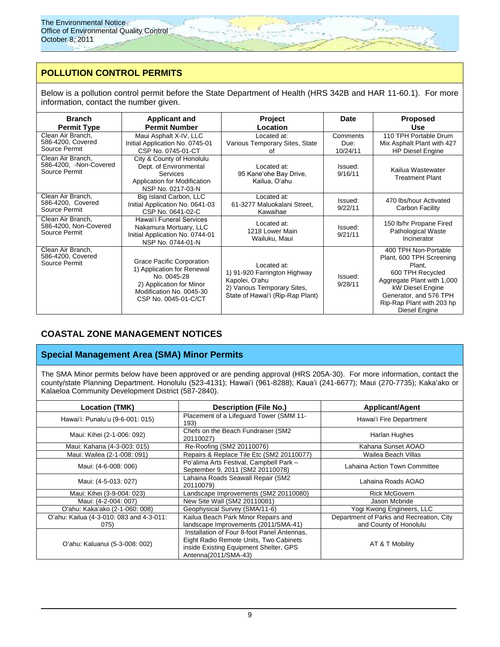# **POLLUTION CONTROL PERMITS**

Below is a pollution control permit before the State Department of Health (HRS 342B and HAR 11-60.1). For more information, contact the number given.

| <b>Branch</b><br><b>Permit Type</b>                          | <b>Applicant and</b><br><b>Permit Number</b>                                                                                                                  | <b>Project</b><br>Location                                                                                                       | Date                         | <b>Proposed</b><br><b>Use</b>                                                                                                                                                                            |
|--------------------------------------------------------------|---------------------------------------------------------------------------------------------------------------------------------------------------------------|----------------------------------------------------------------------------------------------------------------------------------|------------------------------|----------------------------------------------------------------------------------------------------------------------------------------------------------------------------------------------------------|
| Clean Air Branch,<br>586-4200, Covered<br>Source Permit      | Maui Asphalt X-IV, LLC<br>Initial Application No. 0745-01<br>CSP No. 0745-01-CT                                                                               | Located at:<br>Various Temporary Sites, State<br>οf                                                                              | Comments<br>Due:<br>10/24/11 | 110 TPH Portable Drum<br>Mix Asphalt Plant with 427<br><b>HP Diesel Engine</b>                                                                                                                           |
| Clean Air Branch,<br>586-4200, -Non-Covered<br>Source Permit | City & County of Honolulu<br>Dept. of Environmental<br><b>Services</b><br>Application for Modification<br>NSP No. 0217-03-N                                   | Located at:<br>95 Kane'ohe Bay Drive,<br>Kailua, Oʻahu                                                                           | Issued:<br>9/16/11           | Kailua Wastewater<br><b>Treatment Plant</b>                                                                                                                                                              |
| Clean Air Branch,<br>586-4200, Covered<br>Source Permit      | Big Island Carbon, LLC<br>Initial Application No. 0641-03<br>CSP No. 0641-02-C                                                                                | Located at:<br>61-3277 Maluokalani Street,<br>Kawaihae                                                                           | Issued:<br>9/22/11           | 470 lbs/hour Activated<br>Carbon Facility                                                                                                                                                                |
| Clean Air Branch,<br>586-4200, Non-Covered<br>Source Permit  | Hawai'i Funeral Services<br>Nakamura Mortuary, LLC<br>Initial Application No. 0744-01<br>NSP No. 0744-01-N                                                    | Located at:<br>1218 Lower Main<br>Wailuku, Maui                                                                                  | Issued:<br>9/21/11           | 150 lb/hr Propane Fired<br>Pathological Waste<br>Incinerator                                                                                                                                             |
| Clean Air Branch,<br>586-4200, Covered<br>Source Permit      | <b>Grace Pacific Corporation</b><br>1) Application for Renewal<br>No. 0045-28<br>2) Application for Minor<br>Modification No. 0045-30<br>CSP No. 0045-01-C/CT | Located at:<br>1) 91-920 Farrington Highway<br>Kapolei, O'ahu<br>2) Various Temporary Sites,<br>State of Hawai'i (Rip-Rap Plant) | Issued:<br>9/28/11           | 400 TPH Non-Portable<br>Plant, 600 TPH Screening<br>Plant,<br>600 TPH Recycled<br>Aggregate Plant with 1,000<br>kW Diesel Engine<br>Generator, and 576 TPH<br>Rip-Rap Plant with 203 hp<br>Diesel Engine |

# **COASTAL ZONE MANAGEMENT NOTICES**

#### **Special Management Area (SMA) Minor Permits**

The SMA Minor permits below have been approved or are pending approval (HRS 205A-30). For more information, contact the county/state Planning Department. Honolulu (523-4131); Hawaiʻi (961-8288); Kaua‗i (241-6677); Maui (270-7735); Kakaʻako or Kalaeloa Community Development District (587-2840).

| <b>Location (TMK)</b>                            | <b>Description (File No.)</b><br><b>Applicant/Agent</b>                                                                                                 |                                                                    |
|--------------------------------------------------|---------------------------------------------------------------------------------------------------------------------------------------------------------|--------------------------------------------------------------------|
| Hawai'i: Punalu'u (9-6-001: 015)                 | Placement of a Lifeguard Tower (SMM 11-<br>193)                                                                                                         | Hawai'i Fire Department                                            |
| Maui: Kihei (2-1-006: 092)                       | Chefs on the Beach Fundraiser (SM2<br>20110027)                                                                                                         | Harlan Hughes                                                      |
| Maui: Kahana (4-3-003: 015)                      | Re-Roofing (SM2 20110076)                                                                                                                               | Kahana Sunset AOAO                                                 |
| Maui: Wailea (2-1-008: 091)                      | Repairs & Replace Tile Etc (SM2 20110077)                                                                                                               | Wailea Beach Villas                                                |
| Maui: (4-6-008: 006)                             | Po'alima Arts Festival, Campbell Park -<br>September 9, 2011 (SM2 20110078)                                                                             | Lahaina Action Town Committee                                      |
| Maui: (4-5-013: 027)                             | Lahaina Roads Seawall Repair (SM2<br>20110079)                                                                                                          | Lahaina Roads AOAO                                                 |
| Maui: Kihei (3-9-004: 023)                       | Landscape Improvements (SM2 20110080)                                                                                                                   | <b>Rick McGovern</b>                                               |
| Maui: (4-2-004: 007)                             | New Site Wall (SM2 20110081)                                                                                                                            | Jason Mcbride                                                      |
| O'ahu: Kaka'ako (2-1-060: 008)                   | Geophysical Survey (SMA/11-6)                                                                                                                           | Yogi Kwong Engineers, LLC                                          |
| O'ahu: Kailua (4-3-010: 083 and 4-3-011:<br>075) | Kailua Beach Park Minor Repairs and<br>landscape Improvements (2011/SMA-41)                                                                             | Department of Parks and Recreation, City<br>and County of Honolulu |
| O'ahu: Kaluanui (5-3-008: 002)                   | Installation of Four 8-foot Panel Antennas,<br>Eight Radio Remote Units, Two Cabinets<br>inside Existing Equipment Shelter, GPS<br>Antenna(2011/SMA-43) | AT & T Mobility                                                    |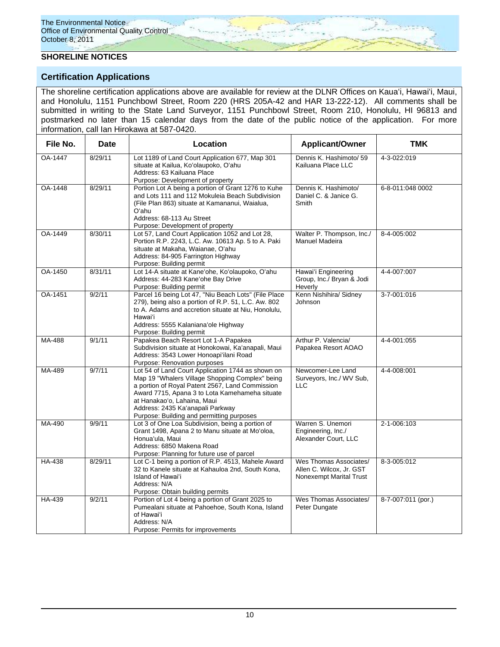### **SHORELINE NOTICES**

### **Certification Applications**

The shoreline certification applications above are available for review at the DLNR Offices on Kauaʻi, Hawaiʻi, Maui, and Honolulu, 1151 Punchbowl Street, Room 220 (HRS 205A-42 and HAR 13-222-12). All comments shall be submitted in writing to the State Land Surveyor, 1151 Punchbowl Street, Room 210, Honolulu, HI 96813 and postmarked no later than 15 calendar days from the date of the public notice of the application. For more information, call Ian Hirokawa at 587-0420.

| File No. | Date    | Location                                                                                                                                                                                                                                                                                                                  | <b>Applicant/Owner</b>                                                        | <b>TMK</b>         |
|----------|---------|---------------------------------------------------------------------------------------------------------------------------------------------------------------------------------------------------------------------------------------------------------------------------------------------------------------------------|-------------------------------------------------------------------------------|--------------------|
| OA-1447  | 8/29/11 | Lot 1189 of Land Court Application 677, Map 301<br>situate at Kailua, Ko'olaupoko, O'ahu<br>Address: 63 Kailuana Place<br>Purpose: Development of property                                                                                                                                                                | Dennis K. Hashimoto/ 59<br>Kailuana Place LLC                                 | 4-3-022:019        |
| OA-1448  | 8/29/11 | Portion Lot A being a portion of Grant 1276 to Kuhe<br>and Lots 111 and 112 Mokuleia Beach Subdivision<br>(File Plan 863) situate at Kamananui, Waialua,<br>O'ahu<br>Address: 68-113 Au Street<br>Purpose: Development of property                                                                                        | Dennis K. Hashimoto/<br>Daniel C. & Janice G.<br>Smith                        | 6-8-011:048 0002   |
| OA-1449  | 8/30/11 | Lot 57, Land Court Application 1052 and Lot 28,<br>Portion R.P. 2243, L.C. Aw. 10613 Ap. 5 to A. Paki<br>situate at Makaha, Waianae, O'ahu<br>Address: 84-905 Farrington Highway<br>Purpose: Building permit                                                                                                              | Walter P. Thompson, Inc./<br>Manuel Madeira                                   | 8-4-005:002        |
| OA-1450  | 8/31/11 | Lot 14-A situate at Kane'ohe, Ko'olaupoko, O'ahu<br>Address: 44-283 Kane'ohe Bay Drive<br>Purpose: Building permit                                                                                                                                                                                                        | Hawai'i Engineering<br>Group, Inc./ Bryan & Jodi<br>Heverly                   | 4-4-007:007        |
| OA-1451  | 9/2/11  | Parcel 16 being Lot 47, "Niu Beach Lots" (File Place<br>279), being also a portion of R.P. 51, L.C. Aw. 802<br>to A. Adams and accretion situate at Niu, Honolulu,<br>Hawai'i<br>Address: 5555 Kalaniana'ole Highway<br>Purpose: Building permit                                                                          | Kenn Nishihira/ Sidney<br>Johnson                                             | 3-7-001:016        |
| MA-488   | 9/1/11  | Papakea Beach Resort Lot 1-A Papakea<br>Subdivision situate at Honokowai, Ka'anapali, Maui<br>Address: 3543 Lower Honoapi'ilani Road<br>Purpose: Renovation purposes                                                                                                                                                      | Arthur P. Valencia/<br>Papakea Resort AOAO                                    | 4-4-001:055        |
| MA-489   | 9/7/11  | Lot 54 of Land Court Application 1744 as shown on<br>Map 19 "Whalers Village Shopping Complex" being<br>a portion of Royal Patent 2567, Land Commission<br>Award 7715, Apana 3 to Lota Kamehameha situate<br>at Hanakao'o, Lahaina, Maui<br>Address: 2435 Ka'anapali Parkway<br>Purpose: Building and permitting purposes | Newcomer-Lee Land<br>Surveyors, Inc./ WV Sub,<br><b>LLC</b>                   | 4-4-008:001        |
| MA-490   | 9/9/11  | Lot 3 of One Loa Subdivision, being a portion of<br>Grant 1498, Apana 2 to Manu situate at Mo'oloa,<br>Honua'ula, Maui<br>Address: 6850 Makena Road<br>Purpose: Planning for future use of parcel                                                                                                                         | Warren S. Unemori<br>Engineering, Inc./<br>Alexander Court, LLC               | 2-1-006:103        |
| HA-438   | 8/29/11 | Lot C-1 being a portion of R.P. 4513, Mahele Award<br>32 to Kanele situate at Kahauloa 2nd, South Kona,<br>Island of Hawai'i<br>Address: N/A<br>Purpose: Obtain building permits                                                                                                                                          | Wes Thomas Associates/<br>Allen C. Wilcox, Jr. GST<br>Nonexempt Marital Trust | 8-3-005:012        |
| HA-439   | 9/2/11  | Portion of Lot 4 being a portion of Grant 2025 to<br>Pumealani situate at Pahoehoe, South Kona, Island<br>of Hawai'i<br>Address: N/A<br>Purpose: Permits for improvements                                                                                                                                                 | Wes Thomas Associates/<br>Peter Dungate                                       | 8-7-007:011 (por.) |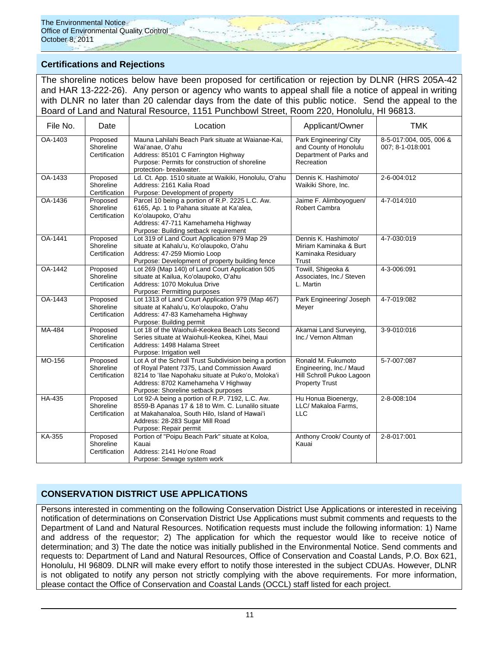# **Certifications and Rejections**

The shoreline notices below have been proposed for certification or rejection by DLNR (HRS 205A-42 and HAR 13-222-26). Any person or agency who wants to appeal shall file a notice of appeal in writing with DLNR no later than 20 calendar days from the date of this public notice. Send the appeal to the Board of Land and Natural Resource, 1151 Punchbowl Street, Room 220, Honolulu, HI 96813.

| File No. | Date                                   | Location                                                                                                                                                                                                                                 | Applicant/Owner                                                                                     | <b>TMK</b>                                  |
|----------|----------------------------------------|------------------------------------------------------------------------------------------------------------------------------------------------------------------------------------------------------------------------------------------|-----------------------------------------------------------------------------------------------------|---------------------------------------------|
| OA-1403  | Proposed<br>Shoreline<br>Certification | Mauna Lahilahi Beach Park situate at Waianae-Kai,<br>Wai'anae, O'ahu<br>Address: 85101 C Farrington Highway<br>Purpose: Permits for construction of shoreline<br>protection- breakwater.                                                 | Park Engineering/ City<br>and County of Honolulu<br>Department of Parks and<br>Recreation           | 8-5-017:004, 005, 006 &<br>007; 8-1-018:001 |
| OA-1433  | Proposed<br>Shoreline<br>Certification | Ld. Ct. App. 1510 situate at Waikiki, Honolulu, O'ahu<br>Address: 2161 Kalia Road<br>Purpose: Development of property                                                                                                                    | Dennis K. Hashimoto/<br>Waikiki Shore, Inc.                                                         | 2-6-004:012                                 |
| OA-1436  | Proposed<br>Shoreline<br>Certification | Parcel 10 being a portion of R.P. 2225 L.C. Aw.<br>6165, Ap. 1 to Pahana situate at Ka'alea,<br>Ko'olaupoko, O'ahu<br>Address: 47-711 Kamehameha Highway<br>Purpose: Building setback requirement                                        | Jaime F. Alimboyoguen/<br><b>Robert Cambra</b>                                                      | 4-7-014:010                                 |
| OA-1441  | Proposed<br>Shoreline<br>Certification | Lot 319 of Land Court Application 979 Map 29<br>situate at Kahalu'u, Ko'olaupoko, O'ahu<br>Address: 47-259 Miomio Loop<br>Purpose: Development of property building fence                                                                | Dennis K. Hashimoto/<br>Miriam Kaminaka & Burt<br>Kaminaka Residuary<br>Trust                       | 4-7-030:019                                 |
| OA-1442  | Proposed<br>Shoreline<br>Certification | Lot 269 (Map 140) of Land Court Application 505<br>situate at Kailua, Ko'olaupoko, O'ahu<br>Address: 1070 Mokulua Drive<br>Purpose: Permitting purposes                                                                                  | Towill, Shigeoka &<br>Associates, Inc./ Steven<br>L. Martin                                         | 4-3-006:091                                 |
| OA-1443  | Proposed<br>Shoreline<br>Certification | Lot 1313 of Land Court Application 979 (Map 467)<br>situate at Kahalu'u, Ko'olaupoko, O'ahu<br>Address: 47-83 Kamehameha Highway<br>Purpose: Building permit                                                                             | Park Engineering/ Joseph<br>Meyer                                                                   | 4-7-019:082                                 |
| MA-484   | Proposed<br>Shoreline<br>Certification | Lot 18 of the Waiohuli-Keokea Beach Lots Second<br>Series situate at Waiohuli-Keokea, Kihei, Maui<br>Address: 1498 Halama Street<br>Purpose: Irrigation well                                                                             | Akamai Land Surveying,<br>Inc./ Vernon Altman                                                       | 3-9-010:016                                 |
| MO-156   | Proposed<br>Shoreline<br>Certification | Lot A of the Schroll Trust Subdivision being a portion<br>of Royal Patent 7375, Land Commission Award<br>8214 to 'llae Napohaku situate at Puko'o, Moloka'i<br>Address: 8702 Kamehameha V Highway<br>Purpose: Shoreline setback purposes | Ronald M. Fukumoto<br>Engineering, Inc./ Maud<br>Hill Schroll Pukoo Lagoon<br><b>Property Trust</b> | 5-7-007:087                                 |
| HA-435   | Proposed<br>Shoreline<br>Certification | Lot 92-A being a portion of R.P. 7192, L.C. Aw.<br>8559-B Apanas 17 & 18 to Wm. C. Lunalilo situate<br>at Makahanaloa, South Hilo, Island of Hawai'i<br>Address: 28-283 Sugar Mill Road<br>Purpose: Repair permit                        | Hu Honua Bioenergy,<br>LLC/ Makaloa Farms,<br><b>LLC</b>                                            | 2-8-008:104                                 |
| KA-355   | Proposed<br>Shoreline<br>Certification | Portion of "Poipu Beach Park" situate at Koloa,<br>Kauai<br>Address: 2141 Ho'one Road<br>Purpose: Sewage system work                                                                                                                     | Anthony Crook/ County of<br>Kauai                                                                   | 2-8-017:001                                 |

# **CONSERVATION DISTRICT USE APPLICATIONS**

Persons interested in commenting on the following Conservation District Use Applications or interested in receiving notification of determinations on Conservation District Use Applications must submit comments and requests to the Department of Land and Natural Resources. Notification requests must include the following information: 1) Name and address of the requestor; 2) The application for which the requestor would like to receive notice of determination; and 3) The date the notice was initially published in the Environmental Notice. Send comments and requests to: Department of Land and Natural Resources, Office of Conservation and Coastal Lands, P.O. Box 621, Honolulu, HI 96809. DLNR will make every effort to notify those interested in the subject CDUAs. However, DLNR is not obligated to notify any person not strictly complying with the above requirements. For more information, please contact the Office of Conservation and Coastal Lands (OCCL) staff listed for each project.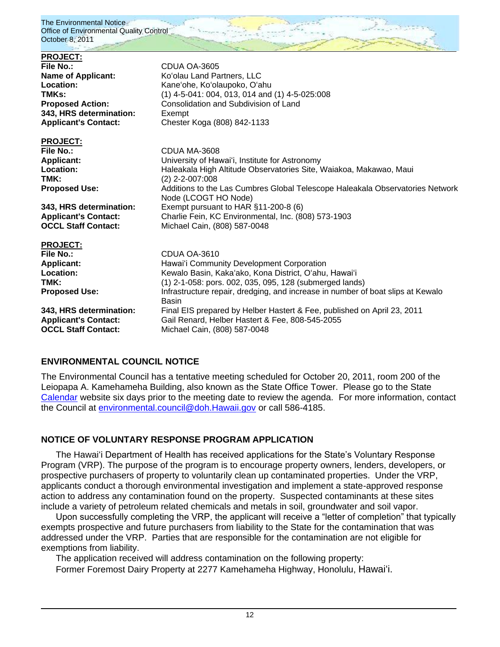| <b>PROJECT:</b><br><b>File No.:</b><br><b>Name of Applicant:</b><br>Location:<br>TMK <sub>s:</sub><br><b>Proposed Action:</b><br>343, HRS determination:<br><b>Applicant's Contact:</b> | CDUA OA-3605<br>Ko'olau Land Partners, LLC<br>Kane'ohe, Ko'olaupoko, O'ahu<br>$(1)$ 4-5-041: 004, 013, 014 and (1) 4-5-025:008<br>Consolidation and Subdivision of Land<br>Exempt<br>Chester Koga (808) 842-1133 |
|-----------------------------------------------------------------------------------------------------------------------------------------------------------------------------------------|------------------------------------------------------------------------------------------------------------------------------------------------------------------------------------------------------------------|
| <b>PROJECT:</b>                                                                                                                                                                         | CDUA MA-3608                                                                                                                                                                                                     |
| <b>File No.:</b>                                                                                                                                                                        | University of Hawai'i, Institute for Astronomy                                                                                                                                                                   |
| <b>Applicant:</b>                                                                                                                                                                       | Haleakala High Altitude Observatories Site, Waiakoa, Makawao, Maui                                                                                                                                               |
| Location:                                                                                                                                                                               | $(2)$ 2-2-007:008                                                                                                                                                                                                |
| TMK:                                                                                                                                                                                    | Additions to the Las Cumbres Global Telescope Haleakala Observatories Network                                                                                                                                    |
| <b>Proposed Use:</b>                                                                                                                                                                    | Node (LCOGT HO Node)                                                                                                                                                                                             |
| 343, HRS determination:                                                                                                                                                                 | Exempt pursuant to HAR §11-200-8 (6)                                                                                                                                                                             |
| <b>Applicant's Contact:</b>                                                                                                                                                             | Charlie Fein, KC Environmental, Inc. (808) 573-1903                                                                                                                                                              |
| <b>OCCL Staff Contact:</b>                                                                                                                                                              | Michael Cain, (808) 587-0048                                                                                                                                                                                     |
| <b>PROJECT:</b>                                                                                                                                                                         | CDUA OA-3610                                                                                                                                                                                                     |
| <b>File No.:</b>                                                                                                                                                                        | Hawai'i Community Development Corporation                                                                                                                                                                        |
| <b>Applicant:</b>                                                                                                                                                                       | Kewalo Basin, Kaka'ako, Kona District, O'ahu, Hawai'i                                                                                                                                                            |
| Location:                                                                                                                                                                               | (1) 2-1-058: pors. 002, 035, 095, 128 (submerged lands)                                                                                                                                                          |
| TMK:                                                                                                                                                                                    | Infrastructure repair, dredging, and increase in number of boat slips at Kewalo                                                                                                                                  |
| <b>Proposed Use:</b>                                                                                                                                                                    | Basin                                                                                                                                                                                                            |
| 343, HRS determination:                                                                                                                                                                 | Final EIS prepared by Helber Hastert & Fee, published on April 23, 2011                                                                                                                                          |
| <b>Applicant's Contact:</b>                                                                                                                                                             | Gail Renard, Helber Hastert & Fee, 808-545-2055                                                                                                                                                                  |
| <b>OCCL Staff Contact:</b>                                                                                                                                                              | Michael Cain, (808) 587-0048                                                                                                                                                                                     |

# **ENVIRONMENTAL COUNCIL NOTICE**

The Environmental Council has a tentative meeting scheduled for October 20, 2011, room 200 of the Leiopapa A. Kamehameha Building, also known as the State Office Tower. Please go to the State [Calendar](http://calendar.ehawaii.gov/calendar/html/event) website six days prior to the meeting date to review the agenda. For more information, contact the Council at *environmental.council@doh.Hawaii.gov* or call 586-4185.

# **NOTICE OF VOLUNTARY RESPONSE PROGRAM APPLICATION**

The Hawaiʻi Department of Health has received applications for the State's Voluntary Response Program (VRP). The purpose of the program is to encourage property owners, lenders, developers, or prospective purchasers of property to voluntarily clean up contaminated properties. Under the VRP, applicants conduct a thorough environmental investigation and implement a state-approved response action to address any contamination found on the property. Suspected contaminants at these sites include a variety of petroleum related chemicals and metals in soil, groundwater and soil vapor.

Upon successfully completing the VRP, the applicant will receive a "letter of completion" that typically exempts prospective and future purchasers from liability to the State for the contamination that was addressed under the VRP. Parties that are responsible for the contamination are not eligible for exemptions from liability.

The application received will address contamination on the following property:

Former Foremost Dairy Property at 2277 Kamehameha Highway, Honolulu, Hawaiʻi.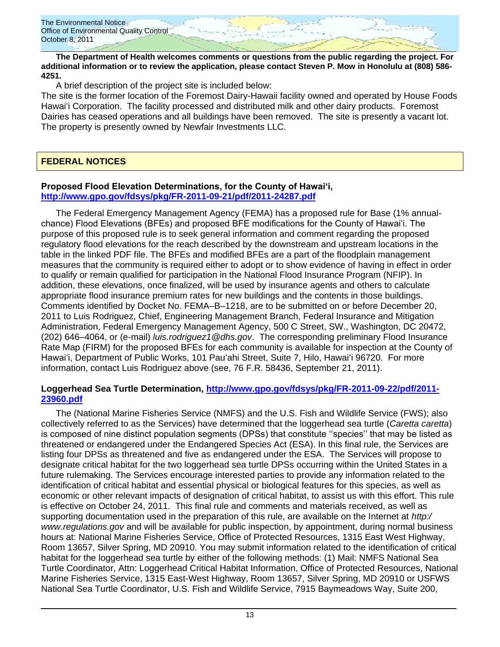

**The Department of Health welcomes comments or questions from the public regarding the project. For additional information or to review the application, please contact Steven P. Mow in Honolulu at (808) 586- 4251.** 

A brief description of the project site is included below:

The site is the former location of the Foremost Dairy-Hawaii facility owned and operated by House Foods Hawaiʻi Corporation. The facility processed and distributed milk and other dairy products. Foremost Dairies has ceased operations and all buildings have been removed. The site is presently a vacant lot. The property is presently owned by Newfair Investments LLC.

## **FEDERAL NOTICES**

#### **Proposed Flood Elevation Determinations, for the County of Hawai'i, <http://www.gpo.gov/fdsys/pkg/FR-2011-09-21/pdf/2011-24287.pdf>**

The Federal Emergency Management Agency (FEMA) has a proposed rule for Base (1% annualchance) Flood Elevations (BFEs) and proposed BFE modifications for the County of Hawai'i. The purpose of this proposed rule is to seek general information and comment regarding the proposed regulatory flood elevations for the reach described by the downstream and upstream locations in the table in the linked PDF file. The BFEs and modified BFEs are a part of the floodplain management measures that the community is required either to adopt or to show evidence of having in effect in order to qualify or remain qualified for participation in the National Flood Insurance Program (NFIP). In addition, these elevations, once finalized, will be used by insurance agents and others to calculate appropriate flood insurance premium rates for new buildings and the contents in those buildings. Comments identified by Docket No. FEMA–B–1218, are to be submitted on or before December 20, 2011 to Luis Rodriguez, Chief, Engineering Management Branch, Federal Insurance and Mitigation Administration, Federal Emergency Management Agency, 500 C Street, SW., Washington, DC 20472, (202) 646–4064, or (e-mail) *luis.rodriguez1@dhs.gov*. The corresponding preliminary Flood Insurance Rate Map (FIRM) for the proposed BFEs for each community is available for inspection at the County of Hawaiʻi, Department of Public Works, 101 Pauʻahi Street, Suite 7, Hilo, Hawaiʻi 96720. For more information, contact Luis Rodriguez above (see, 76 F.R. 58436, September 21, 2011).

#### **Loggerhead Sea Turtle Determination, [http://www.gpo.gov/fdsys/pkg/FR-2011-09-22/pdf/2011-](http://www.gpo.gov/fdsys/pkg/FR-2011-09-22/pdf/2011-23960.pdf) [23960.pdf](http://www.gpo.gov/fdsys/pkg/FR-2011-09-22/pdf/2011-23960.pdf)**

The (National Marine Fisheries Service (NMFS) and the U.S. Fish and Wildlife Service (FWS); also collectively referred to as the Services) have determined that the loggerhead sea turtle (*Caretta caretta*) is composed of nine distinct population segments (DPSs) that constitute "species" that may be listed as threatened or endangered under the Endangered Species Act (ESA). In this final rule, the Services are listing four DPSs as threatened and five as endangered under the ESA. The Services will propose to designate critical habitat for the two loggerhead sea turtle DPSs occurring within the United States in a future rulemaking. The Services encourage interested parties to provide any information related to the identification of critical habitat and essential physical or biological features for this species, as well as economic or other relevant impacts of designation of critical habitat, to assist us with this effort. This rule is effective on October 24, 2011. This final rule and comments and materials received, as well as supporting documentation used in the preparation of this rule, are available on the Internet at *http:/ www.regulations.gov* and will be available for public inspection, by appointment, during normal business hours at: National Marine Fisheries Service, Office of Protected Resources, 1315 East West Highway, Room 13657, Silver Spring, MD 20910. You may submit information related to the identification of critical habitat for the loggerhead sea turtle by either of the following methods: (1) Mail: NMFS National Sea Turtle Coordinator, Attn: Loggerhead Critical Habitat Information, Office of Protected Resources, National Marine Fisheries Service, 1315 East-West Highway, Room 13657, Silver Spring, MD 20910 or USFWS National Sea Turtle Coordinator, U.S. Fish and Wildlife Service, 7915 Baymeadows Way, Suite 200,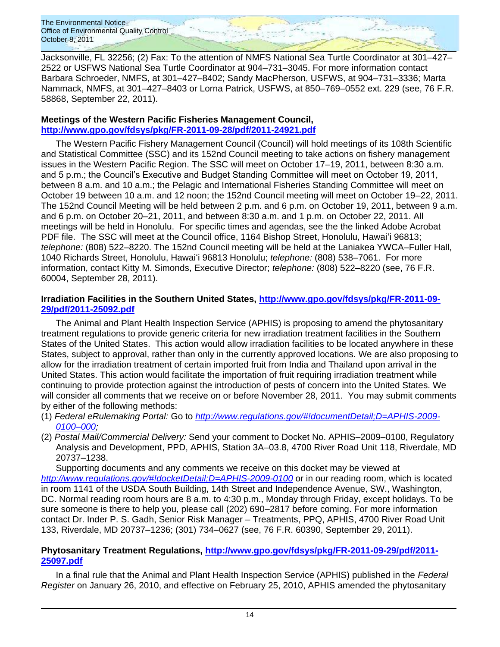Jacksonville, FL 32256; (2) Fax: To the attention of NMFS National Sea Turtle Coordinator at 301–427– 2522 or USFWS National Sea Turtle Coordinator at 904–731–3045. For more information contact Barbara Schroeder, NMFS, at 301–427–8402; Sandy MacPherson, USFWS, at 904–731–3336; Marta Nammack, NMFS, at 301–427–8403 or Lorna Patrick, USFWS, at 850–769–0552 ext. 229 (see, 76 F.R. 58868, September 22, 2011).

#### **Meetings of the Western Pacific Fisheries Management Council, <http://www.gpo.gov/fdsys/pkg/FR-2011-09-28/pdf/2011-24921.pdf>**

The Western Pacific Fishery Management Council (Council) will hold meetings of its 108th Scientific and Statistical Committee (SSC) and its 152nd Council meeting to take actions on fishery management issues in the Western Pacific Region. The SSC will meet on October 17–19, 2011, between 8:30 a.m. and 5 p.m.; the Council's Executive and Budget Standing Committee will meet on October 19, 2011, between 8 a.m. and 10 a.m.; the Pelagic and International Fisheries Standing Committee will meet on October 19 between 10 a.m. and 12 noon; the 152nd Council meeting will meet on October 19–22, 2011. The 152nd Council Meeting will be held between 2 p.m. and 6 p.m. on October 19, 2011, between 9 a.m. and 6 p.m. on October 20–21, 2011, and between 8:30 a.m. and 1 p.m. on October 22, 2011. All meetings will be held in Honolulu. For specific times and agendas, see the the linked Adobe Acrobat PDF file. The SSC will meet at the Council office, 1164 Bishop Street, Honolulu, Hawai'i 96813; *telephone:* (808) 522–8220. The 152nd Council meeting will be held at the Laniakea YWCA–Fuller Hall, 1040 Richards Street, Honolulu, Hawai‗i 96813 Honolulu; *telephone:* (808) 538–7061. For more information, contact Kitty M. Simonds, Executive Director; *telephone:* (808) 522–8220 (see, 76 F.R. 60004, September 28, 2011).

### **Irradiation Facilities in the Southern United States, [http://www.gpo.gov/fdsys/pkg/FR-2011-09-](http://www.gpo.gov/fdsys/pkg/FR-2011-09-29/pdf/2011-25092.pdf) [29/pdf/2011-25092.pdf](http://www.gpo.gov/fdsys/pkg/FR-2011-09-29/pdf/2011-25092.pdf)**

The Animal and Plant Health Inspection Service (APHIS) is proposing to amend the phytosanitary treatment regulations to provide generic criteria for new irradiation treatment facilities in the Southern States of the United States. This action would allow irradiation facilities to be located anywhere in these States, subject to approval, rather than only in the currently approved locations. We are also proposing to allow for the irradiation treatment of certain imported fruit from India and Thailand upon arrival in the United States. This action would facilitate the importation of fruit requiring irradiation treatment while continuing to provide protection against the introduction of pests of concern into the United States. We will consider all comments that we receive on or before November 28, 2011. You may submit comments by either of the following methods:

- (1) *Federal eRulemaking Portal:* Go to *[http://www.regulations.gov/#!documentDetail;D=APHIS-2009-](http://www.regulations.gov/#!documentDetail;D=APHIS-2009-0100–000) [0100–000;](http://www.regulations.gov/#!documentDetail;D=APHIS-2009-0100–000)*
- (2) *Postal Mail/Commercial Delivery:* Send your comment to Docket No. APHIS–2009–0100, Regulatory Analysis and Development, PPD, APHIS, Station 3A–03.8, 4700 River Road Unit 118, Riverdale, MD 20737–1238.

Supporting documents and any comments we receive on this docket may be viewed at *<http://www.regulations.gov/#!docketDetail;D=APHIS-2009-0100>* or in our reading room, which is located in room 1141 of the USDA South Building, 14th Street and Independence Avenue, SW., Washington, DC. Normal reading room hours are 8 a.m. to 4:30 p.m., Monday through Friday, except holidays. To be sure someone is there to help you, please call (202) 690–2817 before coming. For more information contact Dr. Inder P. S. Gadh, Senior Risk Manager – Treatments, PPQ, APHIS, 4700 River Road Unit 133, Riverdale, MD 20737–1236; (301) 734–0627 (see, 76 F.R. 60390, September 29, 2011).

### **Phytosanitary Treatment Regulations, [http://www.gpo.gov/fdsys/pkg/FR-2011-09-29/pdf/2011-](http://www.gpo.gov/fdsys/pkg/FR-2011-09-29/pdf/2011-25097.pdf) [25097.pdf](http://www.gpo.gov/fdsys/pkg/FR-2011-09-29/pdf/2011-25097.pdf)**

In a final rule that the Animal and Plant Health Inspection Service (APHIS) published in the *Federal Register* on January 26, 2010, and effective on February 25, 2010, APHIS amended the phytosanitary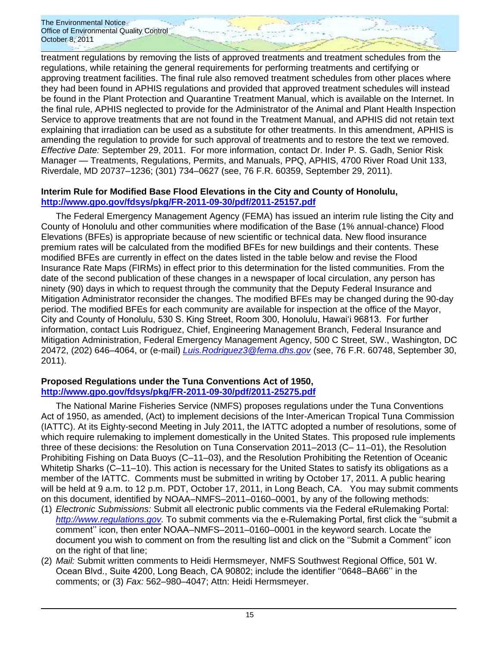treatment regulations by removing the lists of approved treatments and treatment schedules from the regulations, while retaining the general requirements for performing treatments and certifying or approving treatment facilities. The final rule also removed treatment schedules from other places where they had been found in APHIS regulations and provided that approved treatment schedules will instead be found in the Plant Protection and Quarantine Treatment Manual, which is available on the Internet. In the final rule, APHIS neglected to provide for the Administrator of the Animal and Plant Health Inspection Service to approve treatments that are not found in the Treatment Manual, and APHIS did not retain text explaining that irradiation can be used as a substitute for other treatments. In this amendment, APHIS is amending the regulation to provide for such approval of treatments and to restore the text we removed. *Effective Date:* September 29, 2011. For more information, contact Dr. Inder P. S. Gadh, Senior Risk Manager — Treatments, Regulations, Permits, and Manuals, PPQ, APHIS, 4700 River Road Unit 133, Riverdale, MD 20737–1236; (301) 734–0627 (see, 76 F.R. 60359, September 29, 2011).

### **Interim Rule for Modified Base Flood Elevations in the City and County of Honolulu, <http://www.gpo.gov/fdsys/pkg/FR-2011-09-30/pdf/2011-25157.pdf>**

The Federal Emergency Management Agency (FEMA) has issued an interim rule listing the City and County of Honolulu and other communities where modification of the Base (1% annual-chance) Flood Elevations (BFEs) is appropriate because of new scientific or technical data. New flood insurance premium rates will be calculated from the modified BFEs for new buildings and their contents. These modified BFEs are currently in effect on the dates listed in the table below and revise the Flood Insurance Rate Maps (FIRMs) in effect prior to this determination for the listed communities. From the date of the second publication of these changes in a newspaper of local circulation, any person has ninety (90) days in which to request through the community that the Deputy Federal Insurance and Mitigation Administrator reconsider the changes. The modified BFEs may be changed during the 90-day period. The modified BFEs for each community are available for inspection at the office of the Mayor, City and County of Honolulu, 530 S. King Street, Room 300, Honolulu, Hawai‗i 96813. For further information, contact Luis Rodriguez, Chief, Engineering Management Branch, Federal Insurance and Mitigation Administration, Federal Emergency Management Agency, 500 C Street, SW., Washington, DC 20472, (202) 646–4064, or (e-mail) *[Luis.Rodriguez3@fema.dhs.gov](mailto:Luis.Rodriguez3@fema.dhs.gov)* (see, 76 F.R. 60748, September 30, 2011).

### **Proposed Regulations under the Tuna Conventions Act of 1950, <http://www.gpo.gov/fdsys/pkg/FR-2011-09-30/pdf/2011-25275.pdf>**

The National Marine Fisheries Service (NMFS) proposes regulations under the Tuna Conventions Act of 1950, as amended, (Act) to implement decisions of the Inter-American Tropical Tuna Commission (IATTC). At its Eighty-second Meeting in July 2011, the IATTC adopted a number of resolutions, some of which require rulemaking to implement domestically in the United States. This proposed rule implements three of these decisions: the Resolution on Tuna Conservation 2011–2013 (C– 11–01), the Resolution Prohibiting Fishing on Data Buoys (C–11–03), and the Resolution Prohibiting the Retention of Oceanic Whitetip Sharks (C-11-10). This action is necessary for the United States to satisfy its obligations as a member of the IATTC. Comments must be submitted in writing by October 17, 2011. A public hearing will be held at 9 a.m. to 12 p.m. PDT, October 17, 2011, in Long Beach, CA. You may submit comments on this document, identified by NOAA–NMFS–2011–0160–0001, by any of the following methods:

- (1) *Electronic Submissions:* Submit all electronic public comments via the Federal eRulemaking Portal: *[http://www.regulations.gov.](http://www.regulations.gov/)* To submit comments via the e-Rulemaking Portal, first click the "submit a comment'' icon, then enter NOAA–NMFS–2011–0160–0001 in the keyword search. Locate the document you wish to comment on from the resulting list and click on the "Submit a Comment" icon on the right of that line;
- (2) *Mail:* Submit written comments to Heidi Hermsmeyer, NMFS Southwest Regional Office, 501 W. Ocean Blvd., Suite 4200, Long Beach, CA 90802; include the identifier "0648–BA66" in the comments; or (3) *Fax:* 562–980–4047; Attn: Heidi Hermsmeyer.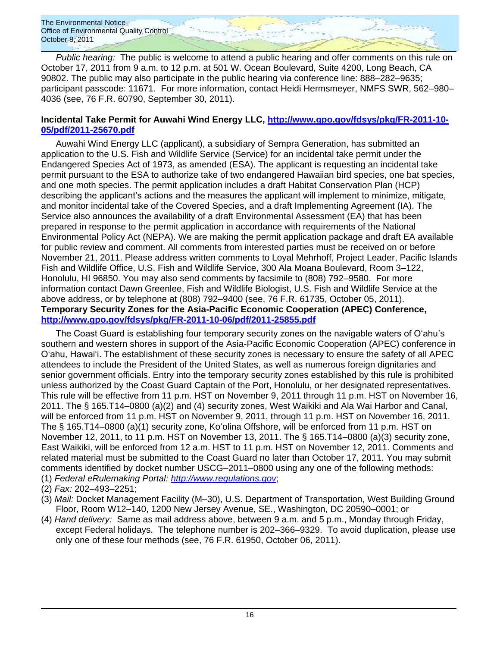*Public hearing:* The public is welcome to attend a public hearing and offer comments on this rule on October 17, 2011 from 9 a.m. to 12 p.m. at 501 W. Ocean Boulevard, Suite 4200, Long Beach, CA 90802. The public may also participate in the public hearing via conference line: 888–282–9635; participant passcode: 11671. For more information, contact Heidi Hermsmeyer, NMFS SWR, 562–980– 4036 (see, 76 F.R. 60790, September 30, 2011).

### **Incidental Take Permit for Auwahi Wind Energy LLC, [http://www.gpo.gov/fdsys/pkg/FR-2011-10-](http://www.gpo.gov/fdsys/pkg/FR-2011-10-05/pdf/2011-25670.pdf) [05/pdf/2011-25670.pdf](http://www.gpo.gov/fdsys/pkg/FR-2011-10-05/pdf/2011-25670.pdf)**

Auwahi Wind Energy LLC (applicant), a subsidiary of Sempra Generation, has submitted an application to the U.S. Fish and Wildlife Service (Service) for an incidental take permit under the Endangered Species Act of 1973, as amended (ESA). The applicant is requesting an incidental take permit pursuant to the ESA to authorize take of two endangered Hawaiian bird species, one bat species, and one moth species. The permit application includes a draft Habitat Conservation Plan (HCP) describing the applicant's actions and the measures the applicant will implement to minimize, mitigate, and monitor incidental take of the Covered Species, and a draft Implementing Agreement (IA). The Service also announces the availability of a draft Environmental Assessment (EA) that has been prepared in response to the permit application in accordance with requirements of the National Environmental Policy Act (NEPA). We are making the permit application package and draft EA available for public review and comment. All comments from interested parties must be received on or before November 21, 2011. Please address written comments to Loyal Mehrhoff, Project Leader, Pacific Islands Fish and Wildlife Office, U.S. Fish and Wildlife Service, 300 Ala Moana Boulevard, Room 3–122, Honolulu, HI 96850. You may also send comments by facsimile to (808) 792–9580. For more information contact Dawn Greenlee, Fish and Wildlife Biologist, U.S. Fish and Wildlife Service at the above address, or by telephone at (808) 792–9400 (see, 76 F.R. 61735, October 05, 2011). **Temporary Security Zones for the Asia-Pacific Economic Cooperation (APEC) Conference, <http://www.gpo.gov/fdsys/pkg/FR-2011-10-06/pdf/2011-25855.pdf>**

The Coast Guard is establishing four temporary security zones on the navigable waters of O'ahu's southern and western shores in support of the Asia-Pacific Economic Cooperation (APEC) conference in O'ahu, Hawai'i. The establishment of these security zones is necessary to ensure the safety of all APEC attendees to include the President of the United States, as well as numerous foreign dignitaries and senior government officials. Entry into the temporary security zones established by this rule is prohibited unless authorized by the Coast Guard Captain of the Port, Honolulu, or her designated representatives. This rule will be effective from 11 p.m. HST on November 9, 2011 through 11 p.m. HST on November 16, 2011. The § 165.T14–0800 (a)(2) and (4) security zones, West Waikiki and Ala Wai Harbor and Canal, will be enforced from 11 p.m. HST on November 9, 2011, through 11 p.m. HST on November 16, 2011. The § 165.T14–0800 (a)(1) security zone, Koʻolina Offshore, will be enforced from 11 p.m. HST on November 12, 2011, to 11 p.m. HST on November 13, 2011. The § 165.T14–0800 (a)(3) security zone, East Waikiki, will be enforced from 12 a.m. HST to 11 p.m. HST on November 12, 2011. Comments and related material must be submitted to the Coast Guard no later than October 17, 2011. You may submit comments identified by docket number USCG–2011–0800 using any one of the following methods:

- (1) *Federal eRulemaking Portal: [http://www.regulations.gov](http://www.regulations.gov/)*;
- (2) *Fax:* 202–493–2251;
- (3) *Mail:* Docket Management Facility (M–30), U.S. Department of Transportation, West Building Ground Floor, Room W12–140, 1200 New Jersey Avenue, SE., Washington, DC 20590–0001; or
- (4) *Hand delivery:* Same as mail address above, between 9 a.m. and 5 p.m., Monday through Friday, except Federal holidays. The telephone number is 202–366–9329. To avoid duplication, please use only one of these four methods (see, 76 F.R. 61950, October 06, 2011).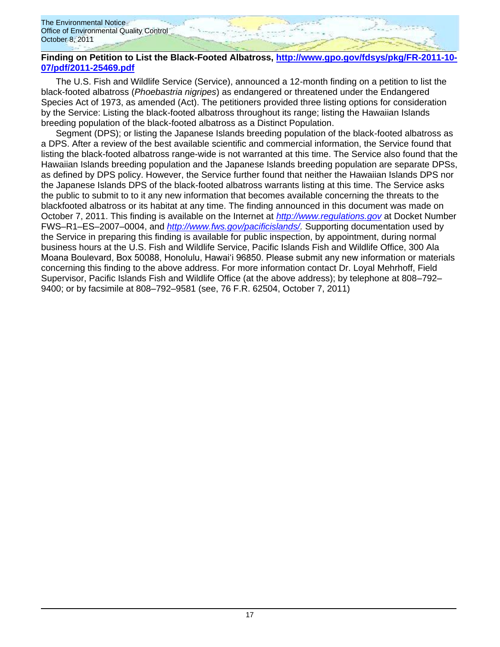### **Finding on Petition to List the Black-Footed Albatross, [http://www.gpo.gov/fdsys/pkg/FR-2011-10-](http://www.gpo.gov/fdsys/pkg/FR-2011-10-07/pdf/2011-25469.pdf) [07/pdf/2011-25469.pdf](http://www.gpo.gov/fdsys/pkg/FR-2011-10-07/pdf/2011-25469.pdf)**

The U.S. Fish and Wildlife Service (Service), announced a 12-month finding on a petition to list the black-footed albatross (*Phoebastria nigripes*) as endangered or threatened under the Endangered Species Act of 1973, as amended (Act). The petitioners provided three listing options for consideration by the Service: Listing the black-footed albatross throughout its range; listing the Hawaiian Islands breeding population of the black-footed albatross as a Distinct Population.

Segment (DPS); or listing the Japanese Islands breeding population of the black-footed albatross as a DPS. After a review of the best available scientific and commercial information, the Service found that listing the black-footed albatross range-wide is not warranted at this time. The Service also found that the Hawaiian Islands breeding population and the Japanese Islands breeding population are separate DPSs, as defined by DPS policy. However, the Service further found that neither the Hawaiian Islands DPS nor the Japanese Islands DPS of the black-footed albatross warrants listing at this time. The Service asks the public to submit to to it any new information that becomes available concerning the threats to the blackfooted albatross or its habitat at any time. The finding announced in this document was made on October 7, 2011. This finding is available on the Internet at *[http://www.regulations.gov](http://www.regulations.gov/)* at Docket Number FWS–R1–ES–2007–0004, and *[http://www.fws.gov/pacificislands/.](http://www.fws.gov/pacificislands/)* Supporting documentation used by the Service in preparing this finding is available for public inspection, by appointment, during normal business hours at the U.S. Fish and Wildlife Service, Pacific Islands Fish and Wildlife Office, 300 Ala Moana Boulevard, Box 50088, Honolulu, Hawai‗i 96850. Please submit any new information or materials concerning this finding to the above address. For more information contact Dr. Loyal Mehrhoff, Field Supervisor, Pacific Islands Fish and Wildlife Office (at the above address); by telephone at 808–792– 9400; or by facsimile at 808–792–9581 (see, 76 F.R. 62504, October 7, 2011)